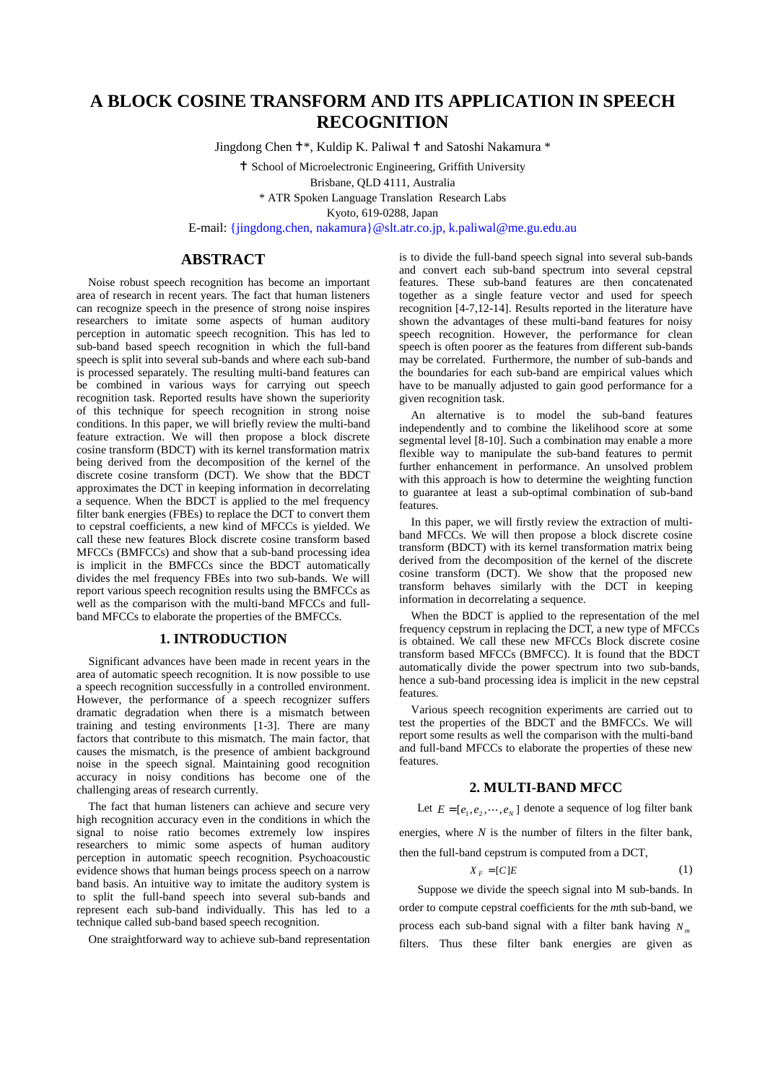## **A BLOCK COSINE TRANSFORM AND ITS APPLICATION IN SPEECH RECOGNITION**

Jingdong Chen <sup>†\*</sup>, Kuldip K. Paliwal <sup>†</sup> and Satoshi Nakamura \*

 School of Microelectronic Engineering, Griffith University Brisbane, QLD 4111, Australia \* ATR Spoken Language Translation Research Labs

Kyoto, 619-0288, Japan

E-mail: {jingdong.chen, nakamura}@slt.atr.co.jp, k.paliwal@me.gu.edu.au

## **ABSTRACT**

Noise robust speech recognition has become an important area of research in recent years. The fact that human listeners can recognize speech in the presence of strong noise inspires researchers to imitate some aspects of human auditory perception in automatic speech recognition. This has led to sub-band based speech recognition in which the full-band speech is split into several sub-bands and where each sub-band is processed separately. The resulting multi-band features can be combined in various ways for carrying out speech recognition task. Reported results have shown the superiority of this technique for speech recognition in strong noise conditions. In this paper, we will briefly review the multi-band feature extraction. We will then propose <sup>a</sup> block discrete cosine transform (BDCT) with its kernel transformation matrix being derived from the decomposition of the kernel of the discrete cosine transform (DCT). We show that the BDCT approximates the DCT in keeping information in decorrelating <sup>a</sup> sequence. When the BDCT is applied to the mel frequency filter bank energies (FBEs) to replace the DCT to convert them to cepstral coefficients, <sup>a</sup> new kind of MFCCs is yielded. We call these new features Block discrete cosine transform based MFCCs (BMFCCs) and show that <sup>a</sup> sub-band processing idea is implicit in the BMFCCs since the BDCT automatically divides the mel frequency FBEs into two sub-bands. We will report various speech recognition results using the BMFCCs as well as the comparison with the multi-band MFCCs and fullband MFCCs to elaborate the properties of the BMFCCs.

#### **1. INTRODUCTION**

Significant advances have been made in recent years in the area of automatic speech recognition. It is now possible to use a speech recognition successfully in a controlled environment.<br>However, the performance of a speech recognizer suffers However, the performance of a speech recognizer suffers<br>dramatic degradation when there is a mismatch between dramatic degradation when there is a mismatch between<br>training and testing environments [1-3]. There are many training and testing environments [1-3]. There are many factors that contribute to this mismatch. The main factor, that causes the mismatch, is the presence of ambient background noise in the speech signal. Maintaining good recognition accuracy in noisy conditions has become one of the challenging areas of research currently.<br>The fact that human listeners can achieve and secure very

The fact that human listeners can achieve and secure very<br>the recognition accuracy even in the conditions in which the high recognition accuracy even in the conditions in which the<br>signal to noise ratio becomes extremely low inspires signal to noise ratio becomes extremely low inspires researchers to mimic some aspects of human auditory perception in automatic speech recognition. Psychoacoustic evidence shows that human beings process speech on a narrow band basis. An intuitive way to imitate the auditory system is band basis. An intuitive way to imitate the auditory system is<br>to split the full-band speech into several sub-bands and to split the full-band speech into several sub-bands and represent each sub-band individually. This has led to a represent each sub-band individually. This has led to <sup>a</sup> technique called sub-band based speech recognition.

One straightforward way to achieve sub-band representation

is to divide the full-band speech signal into several sub-bands and convert each sub-band spectrum into several cepstral features. These sub-band features are then concatenated together as <sup>a</sup> single feature vector and used for speech recognition [4-7,12-14]. Results reported in the literature have shown the advantages of these multi-band features for noisy speech recognition. However, the performance for clean speech is often poorer as the features from different sub-bands may be correlated. Furthermore, the number of sub-bands and the boundaries for each sub-band are empirical values which have to be manually adjusted to gain good performance for <sup>a</sup> given recognition task.

An alternative is to model the sub-band features independently and to combine the likelihood score at some segmental level [8-10]. Such <sup>a</sup> combination may enable <sup>a</sup> more flexible way to manipulate the sub-band features to permit further enhancement in performance. An unsolved problem with this approach is how to determine the weighting function to guarantee at least <sup>a</sup> sub-optimal combination of sub-band features.

In this paper, we will firstly review the extraction of multiband MFCCs. We will then propose <sup>a</sup> block discrete cosine transform (BDCT) with its kernel transformation matrix being derived from the decomposition of the kernel of the discrete cosine transform (DCT). We show that the proposed new transform behaves similarly with the DCT in keeping information in decorrelating <sup>a</sup> sequence.

When the BDCT is applied to the representation of the mel frequency cepstrum in replacing the DCT, <sup>a</sup> new type of MFCCs is obtained. We call these new MFCCs Block discrete cosine transform based MFCCs (BMFCC). It is found that the BDCT automatically divide the power spectrum into two sub-bands, hence <sup>a</sup> sub-band processing idea is implicit in the new cepstral features.

Various speech recognition experiments are carried out to test the properties of the BDCT and the BMFCCs. We will report some results as well the comparison with the multi-band and full-band MFCCs to elaborate the properties of these new features.

#### **2. MULTI-BAND MFCC**

Let  $E = [e_1, e_2, \dots, e_N]$  denote a sequence of log filter bank,<br>rgies, where *N* is the number of filters in the filter bank,

energies, where  $N$  is the number of filters in the filter bank,

then the full-band cepstrum is computed from <sup>a</sup> DCT,

$$
X_F = [C]E \tag{1}
$$

Suppose we divide the speech signal into <sup>M</sup> sub-bands. In order to compute cepstral coefficients for the *<sup>m</sup>*th sub-band, we process each sub-band signal with <sup>a</sup> filter bank having *<sup>N</sup> <sup>m</sup>* filters. Thus these filter bank energies are given as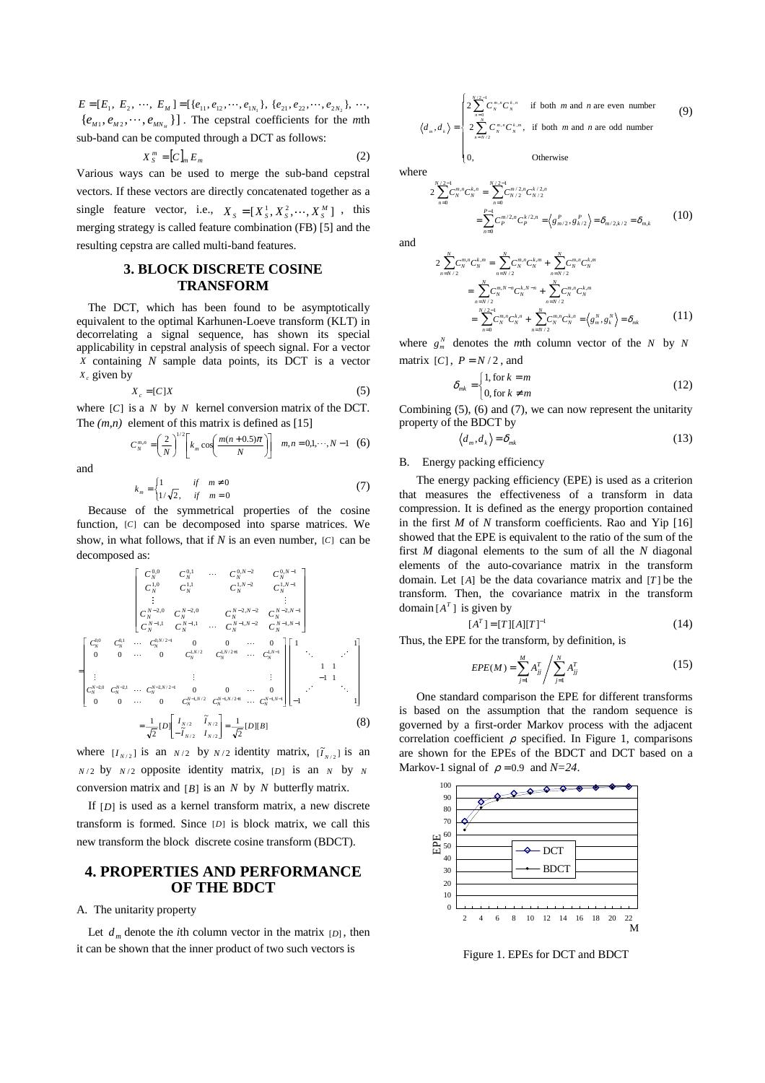$E = [E_1, E_2, \cdots, E_M] = [\{e_{11}, e_{12}, \cdots, e_{1N_1}\}, \{e_{21}, e_{22}, \cdots, e_{2N_2}\}, \cdots,$  $E = [E_1, E_2, \dots, E_M] = [\{e_{11}, e_{12}, \dots, e_{1N_1}\}, \{e_{21}, e_{22}, \dots, e_{2N_2}\}, \dots, \{e_{M1}, e_{M2}, \dots, e_{MN_M}\}]$ . The cepstral coefficients for the *m*th sub-band can be computed through a DCT as follows:<br> $X^m - [C] \quad E$  (2) sub-band can be computed through <sup>a</sup> DCT as follows:

$$
X_S^m = [C]_m E_m \tag{2}
$$

Various ways can be used to merge the sub-band cepstral vectors. If these vectors are directly concatenated together as <sup>a</sup> single feature vector, i.e.,  $X_s = [X_s^1, X_s^2, \dots, X_s^M]$ , this merging strategy is called feature combination (FB) [5] and the resulting constra are called multi hand features merging strategy is called feature combination (FB) [5] and the resulting cepstra are called multi-band features.

## **3. BLOCK DISCRETE COSINE TRANSFORM**

The DCT, which has been found to be asymptotically equivalent to the optimal Karhunen-Loeve transform (KLT) in decorrelating <sup>a</sup> signal sequence, has shown its special applicability in cepstral analysis of speech signal. For <sup>a</sup> vector *<sup>X</sup>* containing *<sup>N</sup>* sample data points, its DCT is <sup>a</sup> vector *Xc* given by

$$
X_c = [C]X \tag{5}
$$

where  $[C]$  is a *N* by *N* kernel conversion matrix of the DCT.<br>The  $(m, n)$  element of this matrix is defined as  $[15]$ The  $(m, n)$  element of this matrix is defined as [15]

$$
C_N^{m,n} = \left(\frac{2}{N}\right)^{1/2} \left[k_m \cos\left(\frac{m(n+0.5)\pi}{N}\right)\right] \quad m, n = 0, 1, \cdots, N-1 \quad (6)
$$

and

$$
k_m = \begin{cases} 1 & \text{if } m \neq 0 \\ 1/\sqrt{2}, & \text{if } m = 0 \end{cases}
$$
 (7)

Because of the symmetrical properties of the cosine<br>perties  $\Gamma$  can be decomposed into sparse matrices  $W_e$ function, [*C*] can be decomposed into sparse matrices. We show, in what follows, that if *<sup>N</sup>* is an even number, [*C*] can be decomposed as:

$$
\begin{bmatrix}\nC_{N}^{0,0} & C_{N}^{0,1} & \cdots & C_{N}^{0,N-2} & C_{N}^{0,N-1} \\
C_{1,0}^{1,0} & C_{1,1}^{1,1} & C_{1,N-2}^{1,N-2} & C_{1,N}^{1,N-1} \\
\vdots & \vdots & \vdots & \vdots & \vdots \\
C_{N}^{N-2,0} & C_{N}^{N-2,0} & C_{N}^{N-2,N-2} & C_{N}^{N-2,N-1} \\
C_{N}^{N-1,1} & C_{N}^{N-1,1} & \cdots & C_{N}^{N-1,N-2} & C_{N}^{N-1,N-1} \\
0 & 0 & \cdots & 0 & C_{N}^{1,N/2} & C_{N}^{1,N/2+1} & \cdots & C_{N}^{1,N-1}\n\end{bmatrix}
$$
\n
$$
=\begin{bmatrix}\nC_{N}^{0,0} & C_{N}^{0,1} & \cdots & C_{N}^{0,N/2+1} & 0 & 0 & \cdots & 0 \\
0 & 0 & \cdots & 0 & C_{N}^{1,N/2} & C_{N}^{1,N/2+1} & \cdots & C_{N}^{1,N-1} \\
\vdots & \vdots & \vdots & \vdots & \vdots & \vdots \\
C_{N}^{N-2,0} & C_{N}^{N-2,1} & \cdots & C_{N}^{N-2,N/2-1} & 0 & 0 & \cdots & 0 \\
0 & 0 & \cdots & 0 & C_{N}^{N-1,N/2} & C_{N}^{N-1,N/2+1} & \cdots & C_{N}^{N-1,N-1}\n\end{bmatrix}\n\begin{bmatrix}\n1 & & & & 1 \\
1 & & & & & 1 \\
-1 & & & & & 1 \\
-1 & & & & & 1 \\
-1 & & & & & 1\n\end{bmatrix}
$$
\n
$$
=\frac{1}{\sqrt{2}}[D]\begin{bmatrix}\nI_{N/2} & \tilde{I}_{N/2} \\
-\tilde{I}_{N/2} & I_{N/2}\n\end{bmatrix}\n=\frac{1}{\sqrt{2}}[D][B]\n\tag{8}
$$

where  $[I_{N/2}]$  is an  $N/2$  by  $N/2$  identity matrix,  $[\tilde{I}_{N/2}]$  is an  $N/2$  by  $N/2$  opposite identity matrix, [*D*] is an *N* by *N* conversion matrix and [*B*] is an *<sup>N</sup>* by *<sup>N</sup>* butterfly matrix.

If [*D*] is used as <sup>a</sup> kernel transform matrix, <sup>a</sup> new discrete transform is formed. Since [*D*] is block matrix, we call this new transform the block discrete cosine transform (BDCT).

## **4. PROPERTIES AND PERFORMANCE OF THE BDCT**

A. The unitarity property

Let  $d_m$  denote the *i*th column vector in the matrix  $[D]$ , then it can be shown that the inner product of two such vectors is

$$
\langle d_m, d_k \rangle = \begin{cases}\n2 \sum_{n=0}^{N/2-1} C_n^{m,n} C_N^{k,n} & \text{if both } m \text{ and } n \text{ are even number} \\
2 \sum_{n=N/2}^{N} C_n^{m,n} C_N^{k,n}, & \text{if both } m \text{ and } n \text{ are odd number} \\
0, & \text{Otherwise}\n\end{cases}
$$
\n(9)

**Otherwise** 

where

-

$$
2\sum_{n=0}^{N/2-1} C_n^{m,n} C_N^{k,n} = \sum_{n=0}^{N/2-1} C_{N/2}^{m/2,n} C_{N/2}^{k/2,n}
$$
  
= 
$$
\sum_{n=0}^{P-1} C_P^{m/2,n} C_P^{k/2,n} = \left\langle g_{m/2}^P, g_{k/2}^P \right\rangle = \delta_{m/2,k/2} = \delta_{m,k}
$$
 (10)

and

$$
2\sum_{n=N/2}^{N} C_{N}^{m,n} C_{N}^{k,m} = \sum_{n=N/2}^{N} C_{N}^{m,n} C_{N}^{k,m} + \sum_{n=N/2}^{N} C_{N}^{m,n} C_{N}^{k,m}
$$
  

$$
= \sum_{n=N/2}^{N} C_{N}^{m,n} C_{N}^{k,N-n} + \sum_{n=N/2}^{N} C_{N}^{m,n} C_{N}^{k,m}
$$
  

$$
= \sum_{n=0}^{N/2-1} C_{N}^{m,n} C_{N}^{k,n} + \sum_{n=N/2}^{N} C_{N}^{m,n} C_{N}^{k,n} = \langle g_{m}^{N}, g_{N}^{N} \rangle = \delta_{mk}
$$
 (11)

where  $g_m^N$  denotes the *m*th column vector of the *N* by *N* matrix  $[C]$ ,  $P = N/2$ , and

$$
\delta_{mk} =\begin{cases} 1, \text{for } k=m \\ 0, \text{for } k \neq m \end{cases}
$$
 (12)

Combining  $(5)$ ,  $(6)$  and  $(7)$ , we can now represent the unitarity property of the BDCT by property of the BDCT by

$$
\langle d_m, d_k \rangle = \delta_{mk} \tag{13}
$$

#### B. Energy packing efficiency

The energy packing efficiency (EPE) is used as <sup>a</sup> criterion that measures the effectiveness of <sup>a</sup> transform in data compression. It is defined as the energy proportion contained in the first *<sup>M</sup>* of *<sup>N</sup>* transform coefficients. Rao and Yip [16] showed that the EPE is equivalent to the ratio of the sum of the first *<sup>M</sup>* diagonal elements to the sum of all the *<sup>N</sup>* diagonal elements of the auto-covariance matrix in the transform domain. Let [*A*] be the data covariance matrix and [*<sup>T</sup>* ] be the transform. Then, the covariance matrix in the transform domain  $[A<sup>T</sup>]$  is given by

$$
[AT] = [T][A][T]-1
$$
\n
$$
[AT] = [T][A][T]-1
$$
\n
$$
[AT] = [T][A][T]-1
$$
\n
$$
[AT] = [T][A][T]-1
$$
\n
$$
(14)
$$

Thus, the EPE for the transform, by definition, is

$$
EPE(M) = \sum_{j=1}^{M} A_{jj}^{T} / \sum_{j=1}^{N} A_{jj}^{T}
$$
 (15)

One standard comparison the EPE for different transforms is based on the assumption that the random sequence is governed by <sup>a</sup> first-order Markov process with the adjacent correlation coefficient  $\rho$  specified. In Figure 1, comparisons are shown for the EPEs of the BDCT and DCT based on <sup>a</sup> Markov-1 signal of  $\rho = 0.9$  and  $N=24$ .



Figure 1. EPEs for DCT and BDCT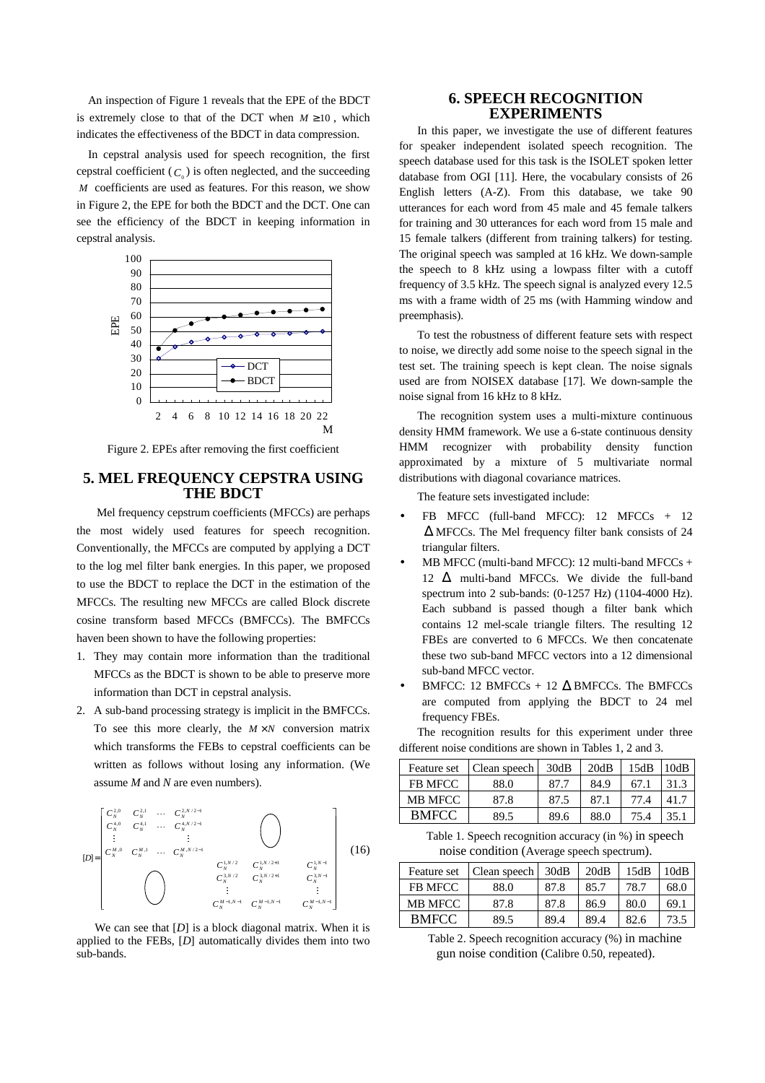An inspection of Figure <sup>1</sup> reveals that the EPE of the BDCT is extremely close to that of the DCT when  $M \ge 10$ , which indicates the effectiveness of the BDCT in data compression.

In cepstral analysis used for speech recognition, the first cepstral coefficient  $(C_0)$  is often neglected, and the succeeding *<sup>M</sup>* coefficients are used as features. For this reason, we show in Figure 2, the EPE for both the BDCT and the DCT. One can see the efficiency of the BDCT in keeping information in cepstral analysis.



Figure 2. EPEs after removing the first coefficient

# **5. MEL FREQUENCY CEPSTRA USING THE BDCT**

Mel frequency cepstrum coefficients (MFCCs) are perhaps the most widely used features for speech recognition. Conventionally, the MFCCs are computed by applying <sup>a</sup> DCT to the log mel filter bank energies. In this paper, we proposed to use the BDCT to replace the DCT in the estimation of the MFCCs. The resulting new MFCCs are called Block discrete cosine transform based MFCCs (BMFCCs). The BMFCCs haven been shown to have the following properties:

- 1. They may contain more information than the traditional MFCCs as the BDCT is shown to be able to preserve more information than DCT in cepstral analysis.
- 2. <sup>A</sup> sub-band processing strategy is implicit in the BMFCCs. To see this more clearly, the  $M \times N$  conversion matrix which transforms the FEBs to cepstral coefficients can be written as follows without losing any information. (We assume *<sup>M</sup>* and *<sup>N</sup>* are even numbers).



We can see that  $[D]$  is a block diagonal matrix. When it is lied to the FERs  $[D]$  automatically divides them into two applied to the FEBs, [*D*] automatically divides them into two sub-bands.

### **6. SPEECH RECOGNITION EXPERIMENTS**

In this paper, we investigate the use of different features for speaker independent isolated speech recognition. The speech database used for this task is the ISOLET spoken letter database from OGI [11]. Here, the vocabulary consists of <sup>26</sup> English letters (A-Z). From this database, we take <sup>90</sup> utterances for each word from <sup>45</sup> male and <sup>45</sup> female talkers for training and <sup>30</sup> utterances for each word from <sup>15</sup> male and <sup>15</sup> female talkers (different from training talkers) for testing. The original speech was sampled at <sup>16</sup> kHz. We down-sample the speech to <sup>8</sup> kHz using <sup>a</sup> lowpass filter with <sup>a</sup> cutoff frequency of 3.5 kHz. The speech signal is analyzed every 12.5 ms with <sup>a</sup> frame width of <sup>25</sup> ms (with Hamming window and preemphasis).

To test the robustness of different feature sets with respect to noise, we directly add some noise to the speech signal in the test set. The training speech is kept clean. The noise signals used are from NOISEX database [17]. We down-sample the noise signal from <sup>16</sup> kHz to <sup>8</sup> kHz.

The recognition system uses <sup>a</sup> multi-mixture continuous density HMM framework. We use <sup>a</sup> 6-state continuous density HMM recognizer with probability density function approximated by <sup>a</sup> mixture of <sup>5</sup> multivariate normal distributions with diagonal covariance matrices.

The feature sets investigated include:

- FB MFCC (full-band MFCC): <sup>12</sup> MFCCs <sup>+</sup> <sup>12</sup> <sup>∆</sup> MFCCs. The Mel frequency filter bank consists of <sup>24</sup> triangular filters.
- MB MFCC (multi-band MFCC): 12 multi-band MFCCs + <sup>12</sup> <sup>∆</sup> multi-band MFCCs. We divide the full-band spectrum into <sup>2</sup> sub-bands: (0-1257 Hz) (1104-4000 Hz). Each subband is passed though <sup>a</sup> filter bank which contains <sup>12</sup> mel-scale triangle filters. The resulting <sup>12</sup> FBEs are converted to <sup>6</sup> MFCCs. We then concatenate these two sub-band MFCC vectors into <sup>a</sup> <sup>12</sup> dimensional sub-band MFCC vector.
- BMFCC: 12 BMFCCs + 12  $\Delta$  BMFCCs. The BMFCCs are computed from applying the BDCT to <sup>24</sup> mel frequency FBEs.

| Feature set    | Clean speech | 30dB | 20dB | 15dB | 10dB |
|----------------|--------------|------|------|------|------|
| <b>FB MFCC</b> | 88.0         | 87.7 | 84.9 | 67.1 | 31.3 |
| <b>MB MFCC</b> | 87.8         | 87.5 | 87.1 | 77.4 | 41.7 |
| <b>BMFCC</b>   | 89.5         | 89.6 | 88.0 | 75.4 | 35.1 |
|                |              |      |      |      |      |

The recognition results for this experiment under three different noise conditions are shown in Tables 1, <sup>2</sup> and 3.

Table 1. Speech recognition accuracy (in %) in speech noise condition (Average speech spectrum).

| Feature set  | Clean speech | 30dB | 20dB | 15dB | 10dB |
|--------------|--------------|------|------|------|------|
| FR MFCC      | 88.0         | 87.8 | 85.7 | 78.7 | 68.0 |
| MB MFCC      | 87.8         | 87.8 | 86.9 | 80.0 | 69.1 |
| <b>BMFCC</b> | 89.5         | 89.4 | 89.4 | 82.6 | 73.5 |
| .            |              |      |      |      |      |

Table 2. Speech recognition accuracy (%) in machine<br>gun noise condition (Calibre 0.50 repeated) gun noise condition (Calibre 0.50, repeated).